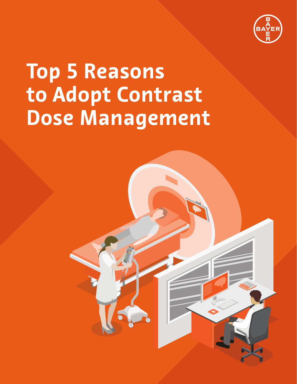

## **Top 5 Reasons to Adopt Contrast Dose Management**

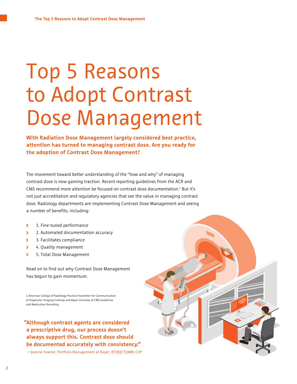#### Top 5 Reasons to Adopt Contrast Dose Management

**With Radiation Dose Management largely considered best practice, attention has turned to managing contrast dose. Are you ready for the adoption of Contrast Dose Management?**

The movement toward better understanding of the "how and why" of managing contrast dose is now gaining traction. Recent reporting guidelines from the ACR and CMS recommend more attention be focused on contrast dose documentation. $1$  But it's not just accreditation and regulatory agencies that see the value in managing contrast dose. Radiology departments are implementing Contrast Dose Management and seeing a number of benefits, including:

- $\overline{\phantom{0}}$ 1. Fine-tuned performance
- $\overline{\phantom{0}}$ 2. Automated documentation accuracy
- 3. Facilitates compliance  $\overline{\phantom{a}}$
- $\overline{\phantom{a}}$ 4. Quality management
- $\overline{\phantom{0}}$ 5. Total Dose Management

Read on to find out why Contrast Dose Management has begun to gain momentum.

1 American College of Radiology Practice Parameter for Communication of Diagnostic Imaging Findings and Bayer Overview of CMS Guidelines and Medication Recording.

#### **" Although contrast agents are considered a prescriptive drug, our process doesn't always support this. Contrast dose should be documented accurately with consistency."**

—Joanne Hoener, Portfolio Management at Bayer, RT(R)(CT)(MR)-CIIP

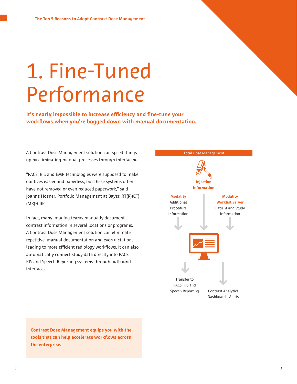## 1. Fine-Tuned Performance

**It's nearly impossible to increase efficiency and fine-tune your workflows when you're bogged down with manual documentation.** 

A Contrast Dose Management solution can speed things The Contrast Dose Management up by eliminating manual processes through interfacing.

"PACS, RIS and EMR technologies were supposed to make our lives easier and paperless, but these systems often have not removed or even reduced paperwork," said Joanne Hoener, Portfolio Management at Bayer, RT(R)(CT) (MR)-CIIP.

In fact, many imaging teams manually document contrast information in several locations or programs. A Contrast Dose Management solution can eliminate repetitive, manual documentation and even dictation, leading to more efficient radiology workflows. It can also automatically connect study data directly into PACS, RIS and Speech Reporting systems through outbound interfaces.



**Contrast Dose Management equips you with the tools that can help accelerate workflows across the enterprise.**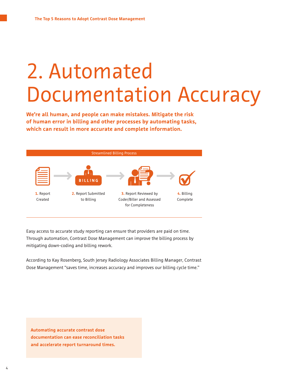#### 2. Automated Documentation Accuracy

**We're all human, and people can make mistakes. Mitigate the risk of human error in billing and other processes by automating tasks, which can result in more accurate and complete information.**



Easy access to accurate study reporting can ensure that providers are paid on time. Through automation, Contrast Dose Management can improve the billing process by mitigating down-coding and billing rework.

According to Kay Rosenberg, South Jersey Radiology Associates Billing Manager, Contrast Dose Management "saves time, increases accuracy and improves our billing cycle time."

**Automating accurate contrast dose documentation can ease reconciliation tasks and accelerate report turnaround times.**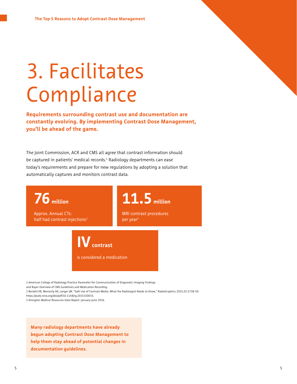# 3. Facilitates Compliance

**Requirements surrounding contrast use and documentation are constantly evolving. By implementing Contrast Dose Management, you'll be ahead of the game.** 

The Joint Commission, ACR and CMS all agree that contrast information should be captured in patients' medical records.<sup>1</sup> Radiology departments can ease today's requirements and prepare for new regulations by adopting a solution that automatically captures and monitors contrast data.

**76 million** Approx. Annual CTs: half had contrast injections<sup>2</sup>  $\mathbf{V}_{\text{contrast}}$ **11.5 million** MRI contrast procedures per year3

is considered a medication

1 American College of Radiology Practice Parameter for Communication of Diagnostic Imaging Findings

and Bayer Overview of CMS Guidelines and Medication Recording.

2 Beckett KR, Moriarity AK, Langer JM. "Safe Use of Contrast Media: What the Radiologist Needs to Know," RadioGraphics 2015;35:1738-50.

https://pubs.rsna.org/doi/pdf/10.1148/rg.2015150033.

3 Arlington Medical Resources Data Report. January-June 2016.

**Many radiology departments have already begun adopting Contrast Dose Management to help them stay ahead of potential changes in documentation guidelines.**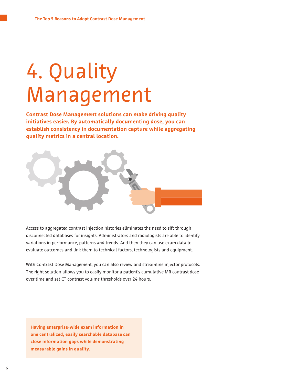## 4. Quality Management

**Contrast Dose Management solutions can make driving quality initiatives easier. By automatically documenting dose, you can establish consistency in documentation capture while aggregating quality metrics in a central location.**



Access to aggregated contrast injection histories eliminates the need to sift through disconnected databases for insights. Administrators and radiologists are able to identify variations in performance, patterns and trends. And then they can use exam data to evaluate outcomes and link them to technical factors, technologists and equipment.

With Contrast Dose Management, you can also review and streamline injector protocols. The right solution allows you to easily monitor a patient's cumulative MR contrast dose over time and set CT contrast volume thresholds over 24 hours.

**Having enterprise-wide exam information in one centralized, easily searchable database can close information gaps while demonstrating measurable gains in quality.**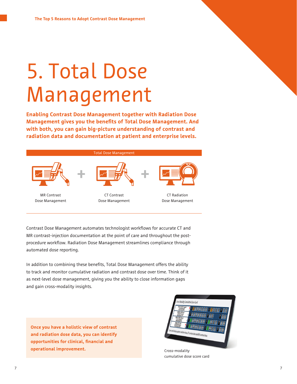# 5. Total Dose Management

**Enabling Contrast Dose Management together with Radiation Dose Management gives you the benefits of Total Dose Management. And with both, you can gain big-picture understanding of contrast and radiation data and documentation at patient and enterprise levels.**



Contrast Dose Management automates technologist workflows for accurate CT and MR contrast-injection documentation at the point of care and throughout the postprocedure workflow. Radiation Dose Management streamlines compliance through automated dose reporting.

In addition to combining these benefits, Total Dose Management offers the ability to track and monitor cumulative radiation and contrast dose over time. Think of it as next-level dose management, giving you the ability to close information gaps and gain cross-modality insights.

**Once you have a holistic view of contrast and radiation dose data, you can identify opportunities for clinical, financial and operational improvement.** 



Cross-modality cumulative dose score card